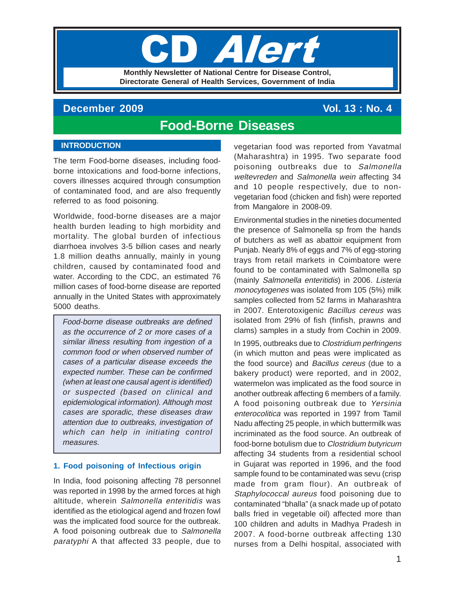# **TIPI Monthly Newsletter of National Centre for Disease Control, Directorate General of Health Services, Government of India**

# **December 2009** Vol. 13 : No. 4

# **Food-Borne Diseases**

## **INTRODUCTION**

The term Food-borne diseases, including foodborne intoxications and food-borne infections, covers illnesses acquired through consumption of contaminated food, and are also frequently referred to as food poisoning.

Worldwide, food-borne diseases are a major health burden leading to high morbidity and mortality. The global burden of infectious diarrhoea involves 3-5 billion cases and nearly 1.8 million deaths annually, mainly in young children, caused by contaminated food and water. According to the CDC, an estimated 76 million cases of food-borne disease are reported annually in the United States with approximately 5000 deaths.

Food-borne disease outbreaks are defined as the occurrence of 2 or more cases of a similar illness resulting from ingestion of a common food or when observed number of cases of a particular disease exceeds the expected number. These can be confirmed (when at least one causal agent is identified) or suspected (based on clinical and epidemiological information). Although most cases are sporadic, these diseases draw attention due to outbreaks, investigation of which can help in initiating control measures.

# **1. Food poisoning of Infectious origin**

In India, food poisoning affecting 78 personnel was reported in 1998 by the armed forces at high altitude, wherein Salmonella enteritidis was identified as the etiological agend and frozen fowl was the implicated food source for the outbreak. A food poisoning outbreak due to Salmonella paratyphi A that affected 33 people, due to vegetarian food was reported from Yavatmal (Maharashtra) in 1995. Two separate food poisoning outbreaks due to Salmonella weltevreden and Salmonella wein affecting 34 and 10 people respectively, due to nonvegetarian food (chicken and fish) were reported from Mangalore in 2008-09.

Environmental studies in the nineties documented the presence of Salmonella sp from the hands of butchers as well as abattoir equipment from Punjab. Nearly 8% of eggs and 7% of egg-storing trays from retail markets in Coimbatore were found to be contaminated with Salmonella sp (mainly Salmonella enteritidis) in 2006. Listeria monocytogenes was isolated from 105 (5%) milk samples collected from 52 farms in Maharashtra in 2007. Enterotoxigenic Bacillus cereus was isolated from 29% of fish (finfish, prawns and clams) samples in a study from Cochin in 2009.

In 1995, outbreaks due to Clostridium perfringens (in which mutton and peas were implicated as the food source) and Bacillus cereus (due to a bakery product) were reported, and in 2002, watermelon was implicated as the food source in another outbreak affecting 6 members of a family. A food poisoning outbreak due to Yersinia enterocolitica was reported in 1997 from Tamil Nadu affecting 25 people, in which buttermilk was incriminated as the food source. An outbreak of food-borne botulism due to Clostridium butyricum affecting 34 students from a residential school in Gujarat was reported in 1996, and the food sample found to be contaminated was sevu (crisp made from gram flour). An outbreak of Staphylococcal aureus food poisoning due to contaminated "bhalla" (a snack made up of potato balls fried in vegetable oil) affected more than 100 children and adults in Madhya Pradesh in 2007. A food-borne outbreak affecting 130 nurses from a Delhi hospital, associated with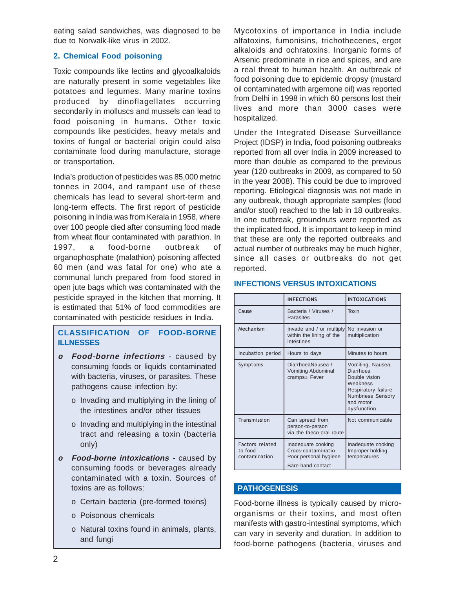eating salad sandwiches, was diagnosed to be due to Norwalk-like virus in 2002.

# **2. Chemical Food poisoning**

Toxic compounds like lectins and glycoalkaloids are naturally present in some vegetables like potatoes and legumes. Many marine toxins produced by dinoflagellates occurring secondarily in molluscs and mussels can lead to food poisoning in humans. Other toxic compounds like pesticides, heavy metals and toxins of fungal or bacterial origin could also contaminate food during manufacture, storage or transportation.

India's production of pesticides was 85,000 metric tonnes in 2004, and rampant use of these chemicals has lead to several short-term and long-term effects. The first report of pesticide poisoning in India was from Kerala in 1958, where over 100 people died after consuming food made from wheat flour contaminated with parathion. In 1997, a food-borne outbreak of organophosphate (malathion) poisoning affected 60 men (and was fatal for one) who ate a communal lunch prepared from food stored in open jute bags which was contaminated with the pesticide sprayed in the kitchen that morning. It is estimated that 51% of food commodities are contaminated with pesticide residues in India.

# **CLASSIFICATION OF FOOD-BORNE ILLNESSES**

- **<sup>o</sup> Food-borne infections** caused by consuming foods or liquids contaminated with bacteria, viruses, or parasites. These pathogens cause infection by:
	- o Invading and multiplying in the lining of the intestines and/or other tissues
	- o Invading and multiplying in the intestinal tract and releasing a toxin (bacteria only)
- **<sup>o</sup> Food-borne intoxications** caused by consuming foods or beverages already contaminated with a toxin. Sources of toxins are as follows:
	- o Certain bacteria (pre-formed toxins)
	- o Poisonous chemicals
	- o Natural toxins found in animals, plants, and fungi

Mycotoxins of importance in India include alfatoxins, fumonisins, trichothecenes, ergot alkaloids and ochratoxins. Inorganic forms of Arsenic predominate in rice and spices, and are a real threat to human health. An outbreak of food poisoning due to epidemic dropsy (mustard oil contaminated with argemone oil) was reported from Delhi in 1998 in which 60 persons lost their lives and more than 3000 cases were hospitalized.

Under the Integrated Disease Surveillance Project (IDSP) in India, food poisoning outbreaks reported from all over India in 2009 increased to more than double as compared to the previous year (120 outbreaks in 2009, as compared to 50 in the year 2008). This could be due to improved reporting. Etiological diagnosis was not made in any outbreak, though appropriate samples (food and/or stool) reached to the lab in 18 outbreaks. In one outbreak, groundnuts were reported as the implicated food. It is important to keep in mind that these are only the reported outbreaks and actual number of outbreaks may be much higher, since all cases or outbreaks do not get reported.

|                                             | <b>INFECTIONS</b>                                                                      | <b>INTOXICATIONS</b>                                                                                                                      |
|---------------------------------------------|----------------------------------------------------------------------------------------|-------------------------------------------------------------------------------------------------------------------------------------------|
| Cause                                       | Bacteria / Viruses /<br>Parasites                                                      | Toxin                                                                                                                                     |
| Mechanism                                   | Invade and / or multiply<br>within the lining of the<br>intestines                     | No invasion or<br>multiplication                                                                                                          |
| Incubation period                           | Hours to days                                                                          | Minutes to hours                                                                                                                          |
| Symptoms                                    | DiarrhoeaNausea /<br>Vomiting Abdominal<br>cramps± Fever                               | Vomiting, Nausea,<br>Diarrhoea<br>Double vision<br>Weakness<br>Respiratory failure<br><b>Numbness Sensory</b><br>and motor<br>dysfunction |
| Transmission                                | Can spread from<br>person-to-person<br>via the faeco-oral route                        | Not communicable                                                                                                                          |
| Factors related<br>to food<br>contamination | Inadequate cooking<br>Croos-contaminatio<br>Poor personal hygiene<br>Bare hand contact | Inadequate cooking<br>Improper holding<br>temperatures                                                                                    |

#### **INFECTIONS VERSUS INTOXICATIONS**

#### **PATHOGENESIS**

Food-borne illness is typically caused by microorganisms or their toxins, and most often manifests with gastro-intestinal symptoms, which can vary in severity and duration. In addition to food-borne pathogens (bacteria, viruses and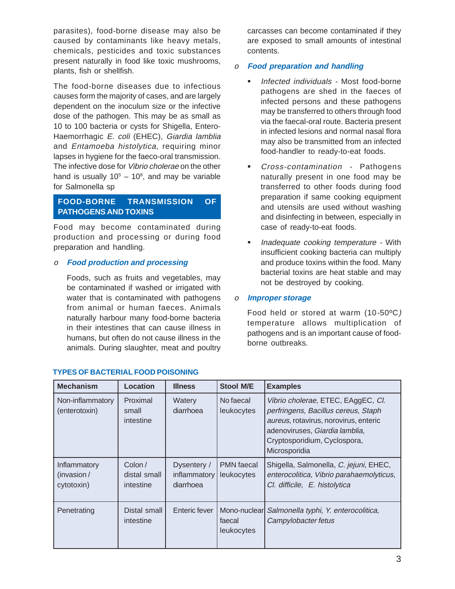parasites), food-borne disease may also be caused by contaminants like heavy metals, chemicals, pesticides and toxic substances present naturally in food like toxic mushrooms, plants, fish or shellfish.

The food-borne diseases due to infectious causes form the majority of cases, and are largely dependent on the inoculum size or the infective dose of the pathogen. This may be as small as 10 to 100 bacteria or cysts for Shigella, Entero-Haemorrhagic E. coli (EHEC), Giardia lamblia and Entamoeba histolytica, requiring minor lapses in hygiene for the faeco-oral transmission. The infective dose for Vibrio cholerae on the other hand is usually  $10^5 - 10^8$ , and may be variable for Salmonella sp

# **FOOD-BORNE TRANSMISSION OF PATHOGENS AND TOXINS**

Food may become contaminated during production and processing or during food preparation and handling.

# <sup>o</sup> **Food production and processing**

Foods, such as fruits and vegetables, may be contaminated if washed or irrigated with water that is contaminated with pathogens from animal or human faeces. Animals naturally harbour many food-borne bacteria in their intestines that can cause illness in humans, but often do not cause illness in the animals. During slaughter, meat and poultry carcasses can become contaminated if they are exposed to small amounts of intestinal contents.

## <sup>o</sup> **Food preparation and handling**

- Infected individuals Most food-borne pathogens are shed in the faeces of infected persons and these pathogens may be transferred to others through food via the faecal-oral route. Bacteria present in infected lesions and normal nasal flora may also be transmitted from an infected food-handler to ready-to-eat foods.
- Cross-contamination Pathogens naturally present in one food may be transferred to other foods during food preparation if same cooking equipment and utensils are used without washing and disinfecting in between, especially in case of ready-to-eat foods.
- Inadequate cooking temperature With insufficient cooking bacteria can multiply and produce toxins within the food. Many bacterial toxins are heat stable and may not be destroyed by cooking.

<sup>o</sup> **Improper storage**

Food held or stored at warm (10-50ºC) temperature allows multiplication of pathogens and is an important cause of foodborne outbreaks.

| <b>Mechanism</b>                         | Location                            | <b>Illness</b>                           | <b>Stool M/E</b>                | <b>Examples</b>                                                                                                                                                                                       |
|------------------------------------------|-------------------------------------|------------------------------------------|---------------------------------|-------------------------------------------------------------------------------------------------------------------------------------------------------------------------------------------------------|
| Non-inflammatory<br>(enterotoxin)        | Proximal<br>small<br>intestine      | Watery<br>diarrhoea                      | No faecal<br>leukocytes         | Vibrio cholerae, ETEC, EAggEC, Cl.<br>perfringens, Bacillus cereus, Staph<br>aureus, rotavirus, norovirus, enteric<br>adenoviruses, Giardia lamblia,<br>Cryptosporidium, Cyclospora,<br>Microsporidia |
| Inflammatory<br>(invasion/<br>cytotoxin) | Colon/<br>distal small<br>intestine | Dysentery /<br>inflammatory<br>diarrhoea | <b>PMN</b> faecal<br>leukocytes | Shigella, Salmonella, C. jejuni, EHEC,<br>enterocolitica, Vibrio parahaemolyticus,<br>Cl. difficile, E. histolytica                                                                                   |
| Penetrating                              | Distal small<br>intestine           | Enteric fever                            | faecal<br>leukocytes            | Mono-nuclear Salmonella typhi, Y. enterocolitica,<br>Campylobacter fetus                                                                                                                              |

# **TYPES OF BACTERIAL FOOD POISONING**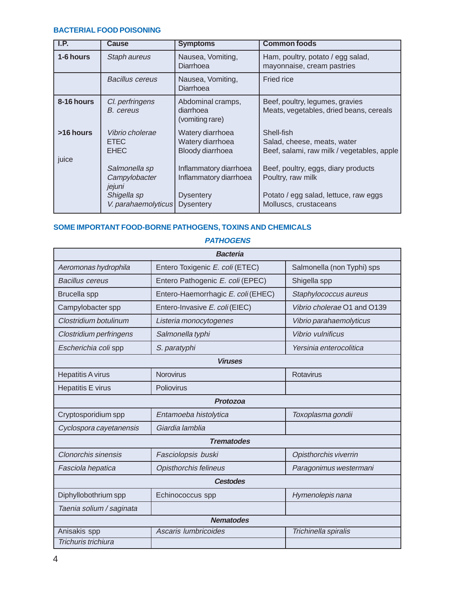#### **BACTERIAL FOOD POISONING**

| I.P.               | <b>Cause</b>                                  | <b>Symptoms</b>                                          | <b>Common foods</b>                                                                     |
|--------------------|-----------------------------------------------|----------------------------------------------------------|-----------------------------------------------------------------------------------------|
| 1-6 hours          | Staph aureus                                  | Nausea, Vomiting,<br>Diarrhoea                           | Ham, poultry, potato / egg salad,<br>mayonnaise, cream pastries                         |
|                    | <b>Bacillus cereus</b>                        | Nausea, Vomiting,<br>Diarrhoea                           | <b>Fried rice</b>                                                                       |
| 8-16 hours         | Cl. perfringens<br>B. cereus                  | Abdominal cramps,<br>diarrhoea<br>(vomiting rare)        | Beef, poultry, legumes, gravies<br>Meats, vegetables, dried beans, cereals              |
| >16 hours<br>juice | Vibrio cholerae<br><b>ETEC</b><br><b>EHEC</b> | Watery diarrhoea<br>Watery diarrhoea<br>Bloody diarrhoea | Shell-fish<br>Salad, cheese, meats, water<br>Beef, salami, raw milk / vegetables, apple |
|                    | Salmonella sp<br>Campylobacter<br>jejuni      | Inflammatory diarrhoea<br>Inflammatory diarrhoea         | Beef, poultry, eggs, diary products<br>Poultry, raw milk                                |
|                    | Shigella sp<br>V. parahaemolyticus            | <b>Dysentery</b><br><b>Dysentery</b>                     | Potato / egg salad, lettuce, raw eggs<br>Molluscs, crustaceans                          |

# **SOME IMPORTANT FOOD-BORNE PATHOGENS, TOXINS AND CHEMICALS**

| <i>ГАІ ПОСЕІ</i> ІО        |                                    |                             |  |  |  |
|----------------------------|------------------------------------|-----------------------------|--|--|--|
| <b>Bacteria</b>            |                                    |                             |  |  |  |
| Aeromonas hydrophila       | Entero Toxigenic E. coli (ETEC)    | Salmonella (non Typhi) sps  |  |  |  |
| <b>Bacillus cereus</b>     | Entero Pathogenic E. coli (EPEC)   | Shigella spp                |  |  |  |
| <b>Brucella</b> spp        | Entero-Haemorrhagic E. coli (EHEC) | Staphylococcus aureus       |  |  |  |
| Campylobacter spp          | Entero-Invasive E. coli (EIEC)     | Vibrio cholerae O1 and O139 |  |  |  |
| Clostridium botulinum      | Listeria monocytogenes             | Vibrio parahaemolyticus     |  |  |  |
| Clostridium perfringens    | Salmonella typhi                   | Vibrio vulnificus           |  |  |  |
| Escherichia coli spp       | S. paratyphi                       | Yersinia enterocolitica     |  |  |  |
|                            | <b>Viruses</b>                     |                             |  |  |  |
| <b>Hepatitis A virus</b>   | <b>Norovirus</b>                   | Rotavirus                   |  |  |  |
| <b>Hepatitis E virus</b>   | Poliovirus                         |                             |  |  |  |
| Protozoa                   |                                    |                             |  |  |  |
| Cryptosporidium spp        | Entamoeba histolytica              | Toxoplasma gondii           |  |  |  |
| Cyclospora cayetanensis    | Giardia lamblia                    |                             |  |  |  |
|                            | <b>Trematodes</b>                  |                             |  |  |  |
| <b>Clonorchis sinensis</b> | Fasciolopsis buski                 | Opisthorchis viverrin       |  |  |  |
| Fasciola hepatica          | <b>Opisthorchis felineus</b>       | Paragonimus westermani      |  |  |  |
| <b>Cestodes</b>            |                                    |                             |  |  |  |
| Diphyllobothrium spp       | Echinococcus spp                   | Hymenolepis nana            |  |  |  |
| Taenia solium / saginata   |                                    |                             |  |  |  |
|                            | <b>Nematodes</b>                   |                             |  |  |  |
| Anisakis spp               | Ascaris lumbricoides               | Trichinella spiralis        |  |  |  |
| Trichuris trichiura        |                                    |                             |  |  |  |

# **PATHOGENS**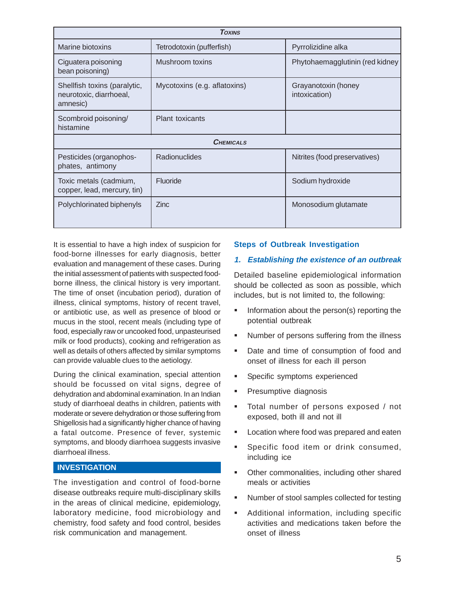| <b>TOXINS</b>                                                       |                              |                                      |  |  |  |
|---------------------------------------------------------------------|------------------------------|--------------------------------------|--|--|--|
| Marine biotoxins                                                    | Tetrodotoxin (pufferfish)    | Pyrrolizidine alka                   |  |  |  |
| Ciguatera poisoning<br>bean poisoning)                              | Mushroom toxins              | Phytohaemagglutinin (red kidney      |  |  |  |
| Shellfish toxins (paralytic,<br>neurotoxic, diarrhoeal,<br>amnesic) | Mycotoxins (e.g. aflatoxins) | Grayanotoxin (honey<br>intoxication) |  |  |  |
| Scombroid poisoning/<br>histamine                                   | <b>Plant toxicants</b>       |                                      |  |  |  |
|                                                                     | <b>CHEMICALS</b>             |                                      |  |  |  |
| Pesticides (organophos-<br>phates, antimony                         | Radionuclides                | Nitrites (food preservatives)        |  |  |  |
| Toxic metals (cadmium,<br>copper, lead, mercury, tin)               | Fluoride                     | Sodium hydroxide                     |  |  |  |
| Polychlorinated biphenyls                                           | <b>Zinc</b>                  | Monosodium glutamate                 |  |  |  |

It is essential to have a high index of suspicion for food-borne illnesses for early diagnosis, better evaluation and management of these cases. During the initial assessment of patients with suspected foodborne illness, the clinical history is very important. The time of onset (incubation period), duration of illness, clinical symptoms, history of recent travel, or antibiotic use, as well as presence of blood or mucus in the stool, recent meals (including type of food, especially raw or uncooked food, unpasteurised milk or food products), cooking and refrigeration as well as details of others affected by similar symptoms can provide valuable clues to the aetiology.

During the clinical examination, special attention should be focussed on vital signs, degree of dehydration and abdominal examination. In an Indian study of diarrhoeal deaths in children, patients with moderate or severe dehydration or those suffering from Shigellosis had a significantly higher chance of having a fatal outcome. Presence of fever, systemic symptoms, and bloody diarrhoea suggests invasive diarrhoeal illness.

#### **INVESTIGATION**

The investigation and control of food-borne disease outbreaks require multi-disciplinary skills in the areas of clinical medicine, epidemiology, laboratory medicine, food microbiology and chemistry, food safety and food control, besides risk communication and management.

#### **Steps of Outbreak Investigation**

#### **1. Establishing the existence of an outbreak**

Detailed baseline epidemiological information should be collected as soon as possible, which includes, but is not limited to, the following:

- Information about the person(s) reporting the potential outbreak
- Number of persons suffering from the illness
- Date and time of consumption of food and onset of illness for each ill person
- **Specific symptoms experienced**
- **Presumptive diagnosis**
- Total number of persons exposed / not exposed, both ill and not ill
- Location where food was prepared and eaten
- Specific food item or drink consumed, including ice
- Other commonalities, including other shared meals or activities
- Number of stool samples collected for testing
- Additional information, including specific activities and medications taken before the onset of illness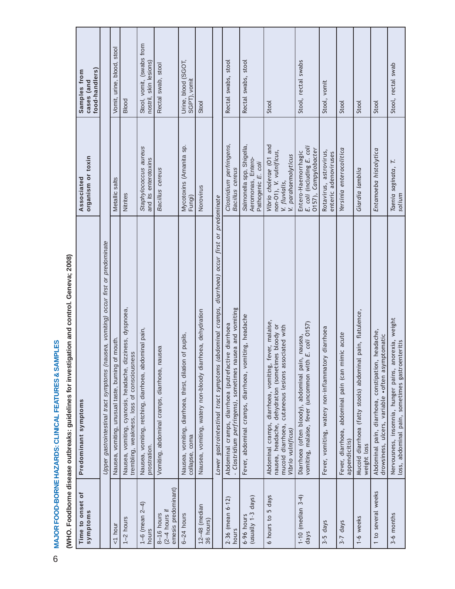|                                                                                                 | food-handlers)<br>Samples from<br>cases (and |                                                                                     | Vomit, urine, blood, stool                            | <b>Blood</b>                                                                                             | Stool, vomit, (swabs from<br>nostril, skin lesions)                    | Rectal swab, stool                                     | Urine, blood (SGOT,<br>SGPT), vomit                                        | Stool                                                      |                                                                                                   | Rectal swabs, stool                                                                                              | Rectal swabs, stool                                                   | Stool                                                                                                                                                                                           | Stool, rectal swabs                                                                                        | Stool, vomit                                       | Stool                                                              | Stool                                                                      | Stool                                                                                                  | Stool, rectal swab                                                                                       |
|-------------------------------------------------------------------------------------------------|----------------------------------------------|-------------------------------------------------------------------------------------|-------------------------------------------------------|----------------------------------------------------------------------------------------------------------|------------------------------------------------------------------------|--------------------------------------------------------|----------------------------------------------------------------------------|------------------------------------------------------------|---------------------------------------------------------------------------------------------------|------------------------------------------------------------------------------------------------------------------|-----------------------------------------------------------------------|-------------------------------------------------------------------------------------------------------------------------------------------------------------------------------------------------|------------------------------------------------------------------------------------------------------------|----------------------------------------------------|--------------------------------------------------------------------|----------------------------------------------------------------------------|--------------------------------------------------------------------------------------------------------|----------------------------------------------------------------------------------------------------------|
|                                                                                                 | organism or toxin<br>Associated              |                                                                                     | Metallic salts                                        | Nitrites                                                                                                 | Staphylococcus aureus<br>and its enterotoxins                          | Bacillus cereus                                        | Mycotoxins (Amanita sp.<br>Fungi)                                          | Norovirus                                                  |                                                                                                   | Clostridium perfringens,<br>Bacillus cereus                                                                      | Salmonella spp, Shigella,<br>Aeromonas, Entero-<br>Pathogenic E. coli | Vibrio cholerae (O1 and<br>non-O1), V. vulnificus,<br>V. parahaemolyticus<br>V. fluvialis,                                                                                                      | E. coli (including E. coli<br>0157), Campylobacter<br>Entero-Haemorrhagic                                  | Rotavirus, astrovirus,<br>enteric adenoviruses     | Yersinia enterocolitica                                            | Giardia lamblia                                                            | Entamoeba histolytica                                                                                  | Taenia saginata, T.<br>solium                                                                            |
| igation and control. Geneva; 2008)<br>(WHO. Foodborne disease outbreaks: guidelines for investi | symptoms<br>Predominant                      | Upper gastrointestinal tract symptoms (nausea, vomiting) occur first or predominate | of mouth.<br>Nausea, vomiting, unusual taste, burning | Nausea, vomiting, cyanosis, headache, dizziness, dyspnoea,<br>trembling, weakness, loss of consciousness | Nausea, vomiting, retching, diarrhoea, abdominal pain,<br>prostration. | Vomiting, abdominal cramps, diarrhoea, nausea          | Nausea, vomiting, diarrhoea, thirst, dilation of pupils,<br>collapse, coma | Nausea, vomiting, watery non-bloody diarrhoea, dehydration | (abdominal cramps, diarrhoea) occur first or predominate<br>Lower gastrointestinal tract symptoms | - Clostridium perfringens), sometimes nausea and vomiting<br>Abdominal cramps, diarrhoea (putrefactive diarrhoea | Fever, abdominal cramps, diarrhoea, vomiting, headache                | fever, malaise,<br>nausea, headache, dehydration (sometimes bloody or<br>cutaneous lesions associated with<br>Abdominal cramps, diarrhoea, vomiting,<br>mucoid diarrhoea,<br>Vibrio vulnificus) | vomiting, malaise, fever (uncommon with E. coli 0157)<br>Diarrhoea (often bloody), abdominal pain, nausea, | Fever, vomiting, watery non-inflammatory diarrhoea | Fever, diarrhoea, abdominal pain (can mimic acute<br>appendicitis) | Mucoid diarrhoea (fatty stools) abdominal pain, flatulence,<br>weight loss | Abdominal pain, diarrhoea, constipation, headache,<br>drowsiness, ulcers, variable •often asymptomatic | Nervousness, insomnia, hunger pains, anorexia, weight<br>loss, abdominal pain, sometimes gastroenteritis |
|                                                                                                 | $\mathsf{D}$<br>Time to onset<br>symptoms    |                                                                                     | $1$ hour                                              | $1-2$ hours                                                                                              | $1-6$ (mean $2-4$ )<br>hours                                           | emesis predominant)<br>$(2-4$ hours if<br>$8-16$ hours | $6-24$ hours                                                               | $12-48$ (median<br>36 hours)                               |                                                                                                   | $2-36$ (mean $6-12$ )<br>hours                                                                                   | (usually 1-3 days)<br>$6-96$ hours                                    | 6 hours to 5 days                                                                                                                                                                               | $1-10$ (median $3-4$ )<br>days                                                                             | 3-5 days                                           | days<br>$3 - 7$                                                    | 1-6 weeks                                                                  | 1 to several weeks                                                                                     | 3-6 months                                                                                               |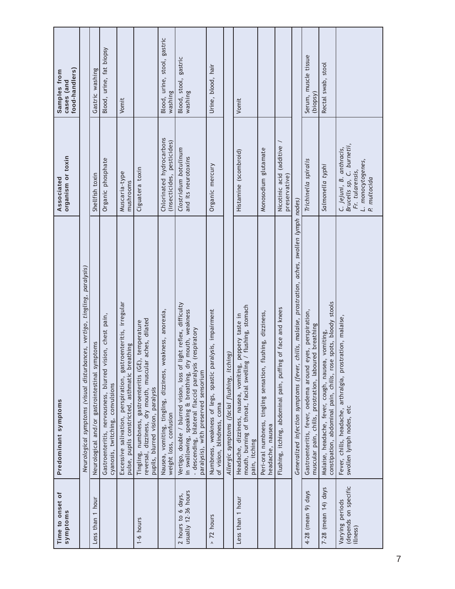| Time to onset of<br>symptoms                        | Predominant symptoms                                                                                                                                                                                                                | organism or toxin<br>Associated                                                                               | food-handlers)<br>Samples from<br>cases (and |
|-----------------------------------------------------|-------------------------------------------------------------------------------------------------------------------------------------------------------------------------------------------------------------------------------------|---------------------------------------------------------------------------------------------------------------|----------------------------------------------|
|                                                     | Neurological symptoms (visual disturbances, vertigo, tingling, paralysis)                                                                                                                                                           |                                                                                                               |                                              |
| Less than 1 hour                                    | Neurological and/or gastrointestinal symptoms                                                                                                                                                                                       | Shellfish toxin                                                                                               | Gastric washing                              |
|                                                     | Gastroenteritis, nervousness, blurred vision, chest pain,<br>cyanosis, twitching, convulsions                                                                                                                                       | Organic phosphate                                                                                             | Blood, urine, fat biopsy                     |
|                                                     | Excessive salivation, perspiration, gastroenteritis, irregular<br>pulse, pupils constricted, asthmatic breathing                                                                                                                    | Muscaria-type<br>mushrooms                                                                                    | Vomit                                        |
| $1-6$ hours                                         | aches, dilated<br>, temperature<br>Tingling, numbness, gastroenteritis (GE)<br>reversal, dizziness, dry mouth, muscular<br>pupils, blurred vision, paralysis                                                                        | Ciguatera toxin                                                                                               |                                              |
|                                                     | Nausea, vomiting, tingling, dizziness, weakness, anorexia,<br>weight loss, confusion                                                                                                                                                | Chlorinated hydrocarbons<br>(insecticides, pesticides)                                                        | Blood, urine, stool, gastric<br>washing      |
| usually 12-36 hours<br>2 hours to 6 days,           | Vertigo, double / blurred vision, loss of light reflex, difficulty<br>in swallowing, speaking & breathing, dry mouth, weakness<br>(respiratory<br>- descending, bilateral flaccid paralysis<br>paralysis), with preserved sensorium | Clostridium botulinum<br>and its neurotoxins                                                                  | Blood, stool, gastric<br>washing             |
| 72 hours<br>$\boldsymbol{\wedge}$                   | Numbness, weakness of legs, spastic paralysis, impairment<br>of vision, blindness, coma                                                                                                                                             | Organic mercury                                                                                               | Urine, blood, hair                           |
|                                                     | Allergic symptoms (facial flushing, itching)                                                                                                                                                                                        |                                                                                                               |                                              |
| Less than 1 hour                                    | mouth, burning of throat, facial swelling / flushing, stomach<br>peppery taste in<br>Headache, dizziness, nausea, vomiting,<br>pain, itching                                                                                        | Histamine (scombroid)                                                                                         | Vomit                                        |
|                                                     | Peri-oral numbness, tingling sensation, flushing, dizziness,<br>headache, nausea                                                                                                                                                    | Monosodium glutamate                                                                                          |                                              |
|                                                     | of face and knees<br>Flushing, itching, abdominal pain, puffing                                                                                                                                                                     | Nicotinic acid (additive<br>preservative)                                                                     |                                              |
|                                                     | chills, malaise, prostration, aches, swollen lymph nodes)<br>Generalized infection symptoms (fever,                                                                                                                                 |                                                                                                               |                                              |
| 4-28 (mean 9) days                                  | Gastroenteritis, fever, oedema around eyes, perspiration,<br>muscular pain, chills, prostration, laboured breathing                                                                                                                 | Trichinella spiralis                                                                                          | Serum, muscle tissue<br>(biopsy)             |
| $7-28$ (mean $14$ ) days                            | constipation, abdominal pain, chills, rose spots, bloody stools<br>Malaise, headache, fever, cough, nausea, vomiting,                                                                                                               | Salmonella typhi                                                                                              | Rectal swab, stool                           |
| (depends on specific<br>Varying periods<br>illness) | Fever, chills, headache, arthralgia, prostration, malaise,<br>swollen lymph nodes, etc                                                                                                                                              | Brucells sp, C. burnetii,<br>C. jejuni, B. anthracis,<br>L. monocytogenes,<br>P. multocida<br>Fr. tularensis, |                                              |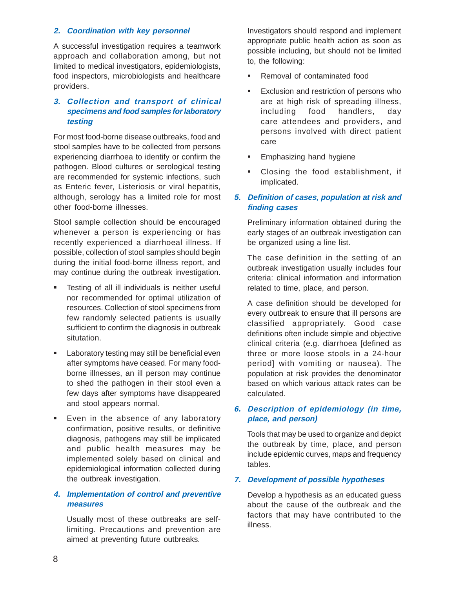#### **2. Coordination with key personnel**

A successful investigation requires a teamwork approach and collaboration among, but not limited to medical investigators, epidemiologists, food inspectors, microbiologists and healthcare providers.

# **3. Collection and transport of clinical specimens and food samples for laboratory testing**

For most food-borne disease outbreaks, food and stool samples have to be collected from persons experiencing diarrhoea to identify or confirm the pathogen. Blood cultures or serological testing are recommended for systemic infections, such as Enteric fever, Listeriosis or viral hepatitis, although, serology has a limited role for most other food-borne illnesses.

Stool sample collection should be encouraged whenever a person is experiencing or has recently experienced a diarrhoeal illness. If possible, collection of stool samples should begin during the initial food-borne illness report, and may continue during the outbreak investigation.

- Testing of all ill individuals is neither useful nor recommended for optimal utilization of resources. Collection of stool specimens from few randomly selected patients is usually sufficient to confirm the diagnosis in outbreak situtation.
- **EXEC** Laboratory testing may still be beneficial even after symptoms have ceased. For many foodborne illnesses, an ill person may continue to shed the pathogen in their stool even a few days after symptoms have disappeared and stool appears normal.
- **Even in the absence of any laboratory** confirmation, positive results, or definitive diagnosis, pathogens may still be implicated and public health measures may be implemented solely based on clinical and epidemiological information collected during the outbreak investigation.

# **4. Implementation of control and preventive measures**

Usually most of these outbreaks are selflimiting. Precautions and prevention are aimed at preventing future outbreaks.

Investigators should respond and implement appropriate public health action as soon as possible including, but should not be limited to, the following:

- Removal of contaminated food
- **Exclusion and restriction of persons who** are at high risk of spreading illness, including food handlers, day care attendees and providers, and persons involved with direct patient care
- **Emphasizing hand hygiene**
- **Closing the food establishment, if** implicated.

# **5. Definition of cases, population at risk and finding cases**

Preliminary information obtained during the early stages of an outbreak investigation can be organized using a line list.

The case definition in the setting of an outbreak investigation usually includes four criteria: clinical information and information related to time, place, and person.

A case definition should be developed for every outbreak to ensure that ill persons are classified appropriately. Good case definitions often include simple and objective clinical criteria (e.g. diarrhoea [defined as three or more loose stools in a 24-hour period] with vomiting or nausea). The population at risk provides the denominator based on which various attack rates can be calculated.

# **6. Description of epidemiology (in time, place, and person)**

Tools that may be used to organize and depict the outbreak by time, place, and person include epidemic curves, maps and frequency tables.

#### **7. Development of possible hypotheses**

Develop a hypothesis as an educated guess about the cause of the outbreak and the factors that may have contributed to the illness.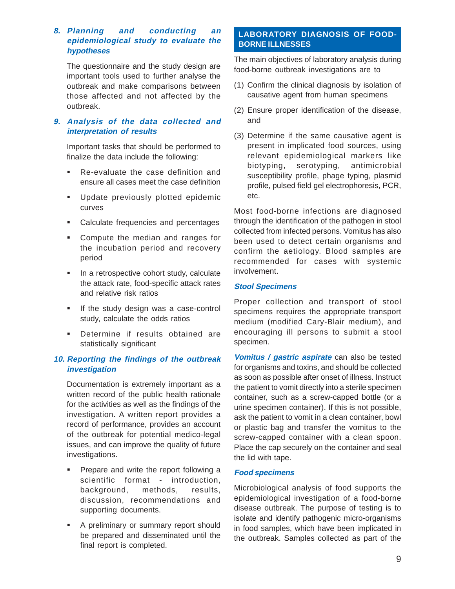# **8. Planning and conducting an epidemiological study to evaluate the hypotheses**

The questionnaire and the study design are important tools used to further analyse the outbreak and make comparisons between those affected and not affected by the outbreak.

# **9. Analysis of the data collected and interpretation of results**

Important tasks that should be performed to finalize the data include the following:

- Re-evaluate the case definition and ensure all cases meet the case definition
- **Update previously plotted epidemic** curves
- Calculate frequencies and percentages
- **Compute the median and ranges for** the incubation period and recovery period
- In a retrospective cohort study, calculate the attack rate, food-specific attack rates and relative risk ratios
- **If the study design was a case-control** study, calculate the odds ratios
- **Determine if results obtained are** statistically significant

# **10. Reporting the findings of the outbreak investigation**

Documentation is extremely important as a written record of the public health rationale for the activities as well as the findings of the investigation. A written report provides a record of performance, provides an account of the outbreak for potential medico-legal issues, and can improve the quality of future investigations.

- Prepare and write the report following a scientific format - introduction, background, methods, results, discussion, recommendations and supporting documents.
- **A preliminary or summary report should** be prepared and disseminated until the final report is completed.

# **LABORATORY DIAGNOSIS OF FOOD-BORNE ILLNESSES**

The main objectives of laboratory analysis during food-borne outbreak investigations are to

- (1) Confirm the clinical diagnosis by isolation of causative agent from human specimens
- (2) Ensure proper identification of the disease, and
- (3) Determine if the same causative agent is present in implicated food sources, using relevant epidemiological markers like biotyping, serotyping, antimicrobial susceptibility profile, phage typing, plasmid profile, pulsed field gel electrophoresis, PCR, etc.

Most food-borne infections are diagnosed through the identification of the pathogen in stool collected from infected persons. Vomitus has also been used to detect certain organisms and confirm the aetiology. Blood samples are recommended for cases with systemic involvement.

# **Stool Specimens**

Proper collection and transport of stool specimens requires the appropriate transport medium (modified Cary-Blair medium), and encouraging ill persons to submit a stool specimen.

**Vomitus / gastric aspirate** can also be tested for organisms and toxins, and should be collected as soon as possible after onset of illness. Instruct the patient to vomit directly into a sterile specimen container, such as a screw-capped bottle (or a urine specimen container). If this is not possible, ask the patient to vomit in a clean container, bowl or plastic bag and transfer the vomitus to the screw-capped container with a clean spoon. Place the cap securely on the container and seal the lid with tape.

#### **Food specimens**

Microbiological analysis of food supports the epidemiological investigation of a food-borne disease outbreak. The purpose of testing is to isolate and identify pathogenic micro-organisms in food samples, which have been implicated in the outbreak. Samples collected as part of the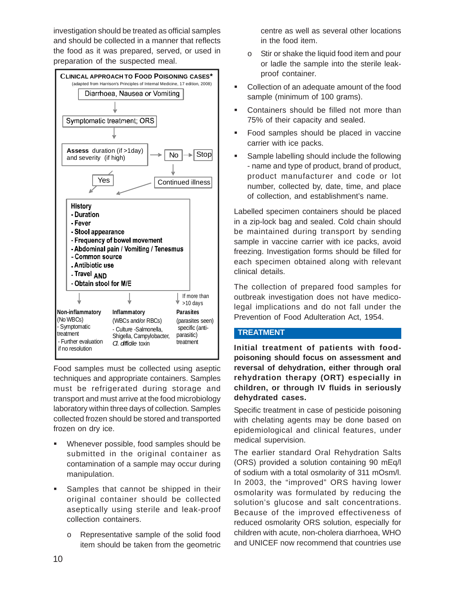investigation should be treated as official samples and should be collected in a manner that reflects the food as it was prepared, served, or used in preparation of the suspected meal.



Food samples must be collected using aseptic techniques and appropriate containers. Samples must be refrigerated during storage and transport and must arrive at the food microbiology laboratory within three days of collection. Samples collected frozen should be stored and transported frozen on dry ice.

- Whenever possible, food samples should be submitted in the original container as contamination of a sample may occur during manipulation.
- Samples that cannot be shipped in their original container should be collected aseptically using sterile and leak-proof collection containers.
	- o Representative sample of the solid food item should be taken from the geometric

centre as well as several other locations in the food item.

- o Stir or shake the liquid food item and pour or ladle the sample into the sterile leakproof container.
- Collection of an adequate amount of the food sample (minimum of 100 grams).
- Containers should be filled not more than 75% of their capacity and sealed.
- **Food samples should be placed in vaccine** carrier with ice packs.
- Sample labelling should include the following - name and type of product, brand of product, product manufacturer and code or lot number, collected by, date, time, and place of collection, and establishment's name.

Labelled specimen containers should be placed in a zip-lock bag and sealed. Cold chain should be maintained during transport by sending sample in vaccine carrier with ice packs, avoid freezing. Investigation forms should be filled for each specimen obtained along with relevant clinical details.

The collection of prepared food samples for outbreak investigation does not have medicolegal implications and do not fall under the Prevention of Food Adulteration Act, 1954.

#### **TREATMENT**

**Initial treatment of patients with foodpoisoning should focus on assessment and reversal of dehydration, either through oral rehydration therapy (ORT) especially in children, or through IV fluids in seriously dehydrated cases.**

Specific treatment in case of pesticide poisoning with chelating agents may be done based on epidemiological and clinical features, under medical supervision.

The earlier standard Oral Rehydration Salts (ORS) provided a solution containing 90 mEq/l of sodium with a total osmolarity of 311 mOsm/l. In 2003, the "improved" ORS having lower osmolarity was formulated by reducing the solution's glucose and salt concentrations. Because of the improved effectiveness of reduced osmolarity ORS solution, especially for children with acute, non-cholera diarrhoea, WHO and UNICEF now recommend that countries use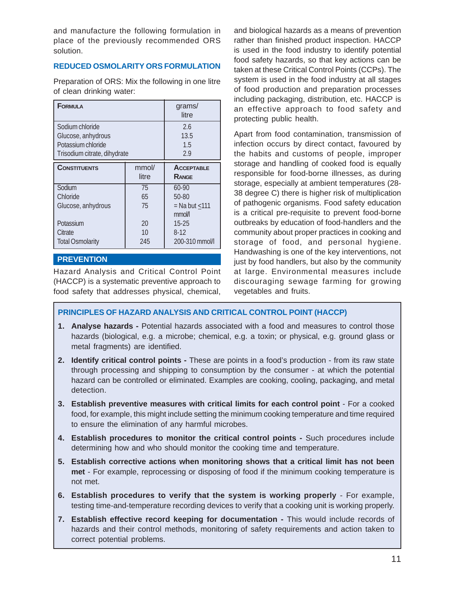and manufacture the following formulation in place of the previously recommended ORS solution.

# **REDUCED OSMOLARITY ORS FORMULATION**

Preparation of ORS: Mix the following in one litre of clean drinking water:

| <b>FORMULA</b>                                                                              |                 | grams/<br>litre                                       |
|---------------------------------------------------------------------------------------------|-----------------|-------------------------------------------------------|
| Sodium chloride<br>Glucose, anhydrous<br>Potassium chloride<br>Trisodium citrate, dihydrate |                 | 2.6<br>13.5<br>1.5<br>2.9                             |
| <b>CONSTITUENTS</b>                                                                         | mmol/<br>litre  | <b>ACCEPTABLE</b><br>RANGE                            |
| Sodium<br>Chloride<br>Glucose, anhydrous                                                    | 75<br>65<br>75  | 60-90<br>$50 - 80$<br>$=$ Na but $\leq$ 111<br>mmol/l |
| Potassium<br>Citrate<br><b>Total Osmolarity</b>                                             | 20<br>10<br>245 | $15 - 25$<br>$8-12$<br>200-310 mmol/l                 |

# **PREVENTION**

Hazard Analysis and Critical Control Point (HACCP) is a systematic preventive approach to food safety that addresses physical, chemical, and biological hazards as a means of prevention rather than finished product inspection. HACCP is used in the food industry to identify potential food safety hazards, so that key actions can be taken at these Critical Control Points (CCPs). The system is used in the food industry at all stages of food production and preparation processes including packaging, distribution, etc. HACCP is an effective approach to food safety and protecting public health.

Apart from food contamination, transmission of infection occurs by direct contact, favoured by the habits and customs of people, improper storage and handling of cooked food is equally responsible for food-borne illnesses, as during storage, especially at ambient temperatures (28- 38 degree C) there is higher risk of multiplication of pathogenic organisms. Food safety education is a critical pre-requisite to prevent food-borne outbreaks by education of food-handlers and the community about proper practices in cooking and storage of food, and personal hygiene. Handwashing is one of the key interventions, not just by food handlers, but also by the community at large. Environmental measures include discouraging sewage farming for growing vegetables and fruits.

# **PRINCIPLES OF HAZARD ANALYSIS AND CRITICAL CONTROL POINT (HACCP)**

- **1. Analyse hazards** Potential hazards associated with a food and measures to control those hazards (biological, e.g. a microbe; chemical, e.g. a toxin; or physical, e.g. ground glass or metal fragments) are identified.
- **2. Identify critical control points** These are points in a food's production from its raw state through processing and shipping to consumption by the consumer - at which the potential hazard can be controlled or eliminated. Examples are cooking, cooling, packaging, and metal detection.
- **3. Establish preventive measures with critical limits for each control point** For a cooked food, for example, this might include setting the minimum cooking temperature and time required to ensure the elimination of any harmful microbes.
- **4. Establish procedures to monitor the critical control points** Such procedures include determining how and who should monitor the cooking time and temperature.
- **5. Establish corrective actions when monitoring shows that a critical limit has not been met** - For example, reprocessing or disposing of food if the minimum cooking temperature is not met.
- **6. Establish procedures to verify that the system is working properly** For example, testing time-and-temperature recording devices to verify that a cooking unit is working properly.
- 7. Establish effective record keeping for documentation This would include records of hazards and their control methods, monitoring of safety requirements and action taken to correct potential problems.